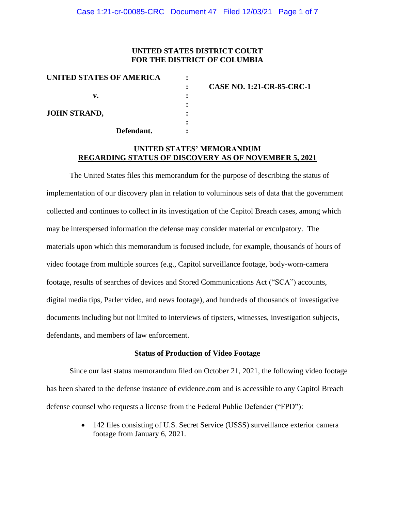### **UNITED STATES DISTRICT COURT FOR THE DISTRICT OF COLUMBIA**

| UNITED STATES OF AMERICA |                                  |
|--------------------------|----------------------------------|
|                          | <b>CASE NO. 1:21-CR-85-CRC-1</b> |
| v.                       |                                  |
| <b>JOHN STRAND,</b>      |                                  |
| Defendant.               |                                  |

## **UNITED STATES' MEMORANDUM REGARDING STATUS OF DISCOVERY AS OF NOVEMBER 5, 2021**

The United States files this memorandum for the purpose of describing the status of implementation of our discovery plan in relation to voluminous sets of data that the government collected and continues to collect in its investigation of the Capitol Breach cases, among which may be interspersed information the defense may consider material or exculpatory. The materials upon which this memorandum is focused include, for example, thousands of hours of video footage from multiple sources (e.g., Capitol surveillance footage, body-worn-camera footage, results of searches of devices and Stored Communications Act ("SCA") accounts, digital media tips, Parler video, and news footage), and hundreds of thousands of investigative documents including but not limited to interviews of tipsters, witnesses, investigation subjects, defendants, and members of law enforcement.

#### **Status of Production of Video Footage**

Since our last status memorandum filed on October 21, 2021, the following video footage has been shared to the defense instance of evidence.com and is accessible to any Capitol Breach defense counsel who requests a license from the Federal Public Defender ("FPD"):

> • 142 files consisting of U.S. Secret Service (USSS) surveillance exterior camera footage from January 6, 2021.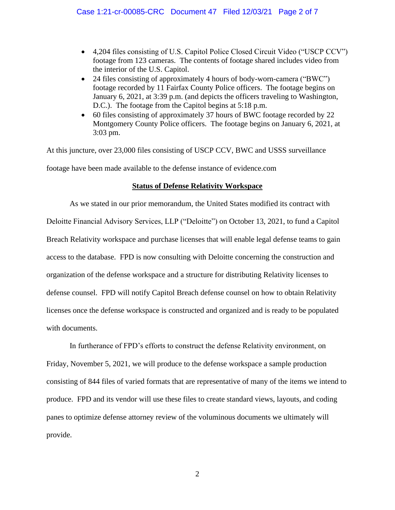- 4,204 files consisting of U.S. Capitol Police Closed Circuit Video ("USCP CCV") footage from 123 cameras. The contents of footage shared includes video from the interior of the U.S. Capitol.
- 24 files consisting of approximately 4 hours of body-worn-camera ("BWC") footage recorded by 11 Fairfax County Police officers. The footage begins on January 6, 2021, at 3:39 p.m. (and depicts the officers traveling to Washington, D.C.). The footage from the Capitol begins at 5:18 p.m.
- 60 files consisting of approximately 37 hours of BWC footage recorded by 22 Montgomery County Police officers. The footage begins on January 6, 2021, at 3:03 pm.

At this juncture, over 23,000 files consisting of USCP CCV, BWC and USSS surveillance footage have been made available to the defense instance of evidence.com

## **Status of Defense Relativity Workspace**

As we stated in our prior memorandum, the United States modified its contract with Deloitte Financial Advisory Services, LLP ("Deloitte") on October 13, 2021, to fund a Capitol Breach Relativity workspace and purchase licenses that will enable legal defense teams to gain access to the database. FPD is now consulting with Deloitte concerning the construction and organization of the defense workspace and a structure for distributing Relativity licenses to defense counsel. FPD will notify Capitol Breach defense counsel on how to obtain Relativity licenses once the defense workspace is constructed and organized and is ready to be populated with documents.

In furtherance of FPD's efforts to construct the defense Relativity environment, on Friday, November 5, 2021, we will produce to the defense workspace a sample production consisting of 844 files of varied formats that are representative of many of the items we intend to produce. FPD and its vendor will use these files to create standard views, layouts, and coding panes to optimize defense attorney review of the voluminous documents we ultimately will provide.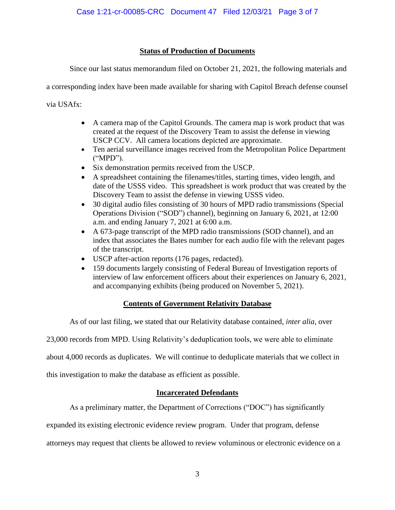## **Status of Production of Documents**

Since our last status memorandum filed on October 21, 2021, the following materials and

a corresponding index have been made available for sharing with Capitol Breach defense counsel

via USAfx:

- A camera map of the Capitol Grounds. The camera map is work product that was created at the request of the Discovery Team to assist the defense in viewing USCP CCV. All camera locations depicted are approximate.
- Ten aerial surveillance images received from the Metropolitan Police Department ("MPD").
- Six demonstration permits received from the USCP.
- A spreadsheet containing the filenames/titles, starting times, video length, and date of the USSS video. This spreadsheet is work product that was created by the Discovery Team to assist the defense in viewing USSS video.
- 30 digital audio files consisting of 30 hours of MPD radio transmissions (Special Operations Division ("SOD") channel), beginning on January 6, 2021, at 12:00 a.m. and ending January 7, 2021 at 6:00 a.m.
- A 673-page transcript of the MPD radio transmissions (SOD channel), and an index that associates the Bates number for each audio file with the relevant pages of the transcript.
- USCP after-action reports (176 pages, redacted).
- 159 documents largely consisting of Federal Bureau of Investigation reports of interview of law enforcement officers about their experiences on January 6, 2021, and accompanying exhibits (being produced on November 5, 2021).

# **Contents of Government Relativity Database**

As of our last filing, we stated that our Relativity database contained, *inter alia*, over

23,000 records from MPD. Using Relativity's deduplication tools, we were able to eliminate

about 4,000 records as duplicates. We will continue to deduplicate materials that we collect in

this investigation to make the database as efficient as possible.

## **Incarcerated Defendants**

As a preliminary matter, the Department of Corrections ("DOC") has significantly

expanded its existing electronic evidence review program. Under that program, defense

attorneys may request that clients be allowed to review voluminous or electronic evidence on a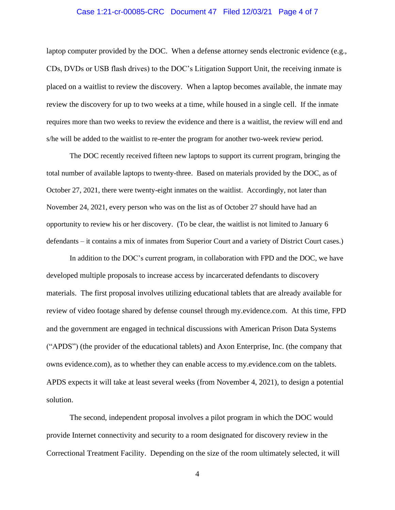#### Case 1:21-cr-00085-CRC Document 47 Filed 12/03/21 Page 4 of 7

laptop computer provided by the DOC. When a defense attorney sends electronic evidence (e.g., CDs, DVDs or USB flash drives) to the DOC's Litigation Support Unit, the receiving inmate is placed on a waitlist to review the discovery. When a laptop becomes available, the inmate may review the discovery for up to two weeks at a time, while housed in a single cell. If the inmate requires more than two weeks to review the evidence and there is a waitlist, the review will end and s/he will be added to the waitlist to re-enter the program for another two-week review period.

The DOC recently received fifteen new laptops to support its current program, bringing the total number of available laptops to twenty-three. Based on materials provided by the DOC, as of October 27, 2021, there were twenty-eight inmates on the waitlist. Accordingly, not later than November 24, 2021, every person who was on the list as of October 27 should have had an opportunity to review his or her discovery. (To be clear, the waitlist is not limited to January 6 defendants – it contains a mix of inmates from Superior Court and a variety of District Court cases.)

In addition to the DOC's current program, in collaboration with FPD and the DOC, we have developed multiple proposals to increase access by incarcerated defendants to discovery materials. The first proposal involves utilizing educational tablets that are already available for review of video footage shared by defense counsel through my.evidence.com. At this time, FPD and the government are engaged in technical discussions with American Prison Data Systems ("APDS") (the provider of the educational tablets) and Axon Enterprise, Inc. (the company that owns evidence.com), as to whether they can enable access to my.evidence.com on the tablets. APDS expects it will take at least several weeks (from November 4, 2021), to design a potential solution.

The second, independent proposal involves a pilot program in which the DOC would provide Internet connectivity and security to a room designated for discovery review in the Correctional Treatment Facility. Depending on the size of the room ultimately selected, it will

4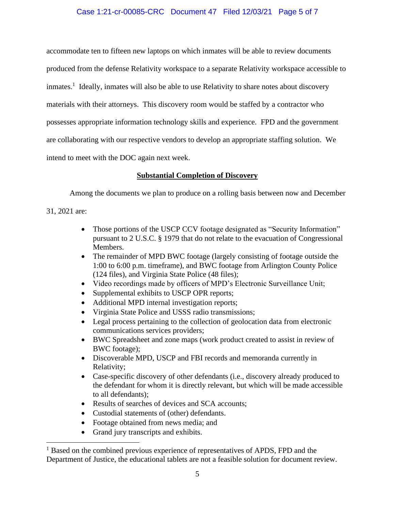## Case 1:21-cr-00085-CRC Document 47 Filed 12/03/21 Page 5 of 7

accommodate ten to fifteen new laptops on which inmates will be able to review documents produced from the defense Relativity workspace to a separate Relativity workspace accessible to inmates.<sup>1</sup> Ideally, inmates will also be able to use Relativity to share notes about discovery materials with their attorneys. This discovery room would be staffed by a contractor who possesses appropriate information technology skills and experience. FPD and the government are collaborating with our respective vendors to develop an appropriate staffing solution. We intend to meet with the DOC again next week.

## **Substantial Completion of Discovery**

Among the documents we plan to produce on a rolling basis between now and December

31, 2021 are:

- Those portions of the USCP CCV footage designated as "Security Information" pursuant to 2 U.S.C. § 1979 that do not relate to the evacuation of Congressional Members.
- The remainder of MPD BWC footage (largely consisting of footage outside the 1:00 to 6:00 p.m. timeframe), and BWC footage from Arlington County Police (124 files), and Virginia State Police (48 files);
- Video recordings made by officers of MPD's Electronic Surveillance Unit;
- Supplemental exhibits to USCP OPR reports;
- Additional MPD internal investigation reports;
- Virginia State Police and USSS radio transmissions;
- Legal process pertaining to the collection of geolocation data from electronic communications services providers;
- BWC Spreadsheet and zone maps (work product created to assist in review of BWC footage);
- Discoverable MPD, USCP and FBI records and memoranda currently in Relativity;
- Case-specific discovery of other defendants (i.e., discovery already produced to the defendant for whom it is directly relevant, but which will be made accessible to all defendants);
- Results of searches of devices and SCA accounts;
- Custodial statements of (other) defendants.
- Footage obtained from news media; and
- Grand jury transcripts and exhibits.

<sup>&</sup>lt;sup>1</sup> Based on the combined previous experience of representatives of APDS, FPD and the Department of Justice, the educational tablets are not a feasible solution for document review.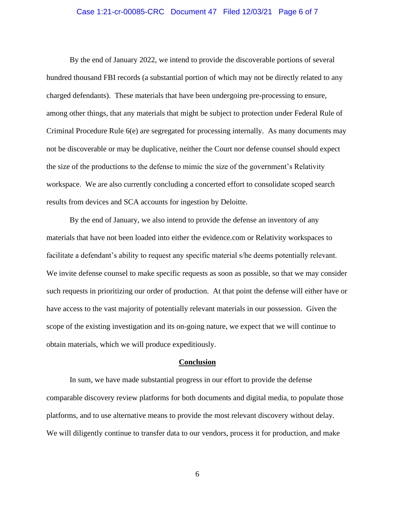#### Case 1:21-cr-00085-CRC Document 47 Filed 12/03/21 Page 6 of 7

By the end of January 2022, we intend to provide the discoverable portions of several hundred thousand FBI records (a substantial portion of which may not be directly related to any charged defendants). These materials that have been undergoing pre-processing to ensure, among other things, that any materials that might be subject to protection under Federal Rule of Criminal Procedure Rule 6(e) are segregated for processing internally. As many documents may not be discoverable or may be duplicative, neither the Court nor defense counsel should expect the size of the productions to the defense to mimic the size of the government's Relativity workspace. We are also currently concluding a concerted effort to consolidate scoped search results from devices and SCA accounts for ingestion by Deloitte.

By the end of January, we also intend to provide the defense an inventory of any materials that have not been loaded into either the evidence.com or Relativity workspaces to facilitate a defendant's ability to request any specific material s/he deems potentially relevant. We invite defense counsel to make specific requests as soon as possible, so that we may consider such requests in prioritizing our order of production. At that point the defense will either have or have access to the vast majority of potentially relevant materials in our possession. Given the scope of the existing investigation and its on-going nature, we expect that we will continue to obtain materials, which we will produce expeditiously.

#### **Conclusion**

In sum, we have made substantial progress in our effort to provide the defense comparable discovery review platforms for both documents and digital media, to populate those platforms, and to use alternative means to provide the most relevant discovery without delay. We will diligently continue to transfer data to our vendors, process it for production, and make

6